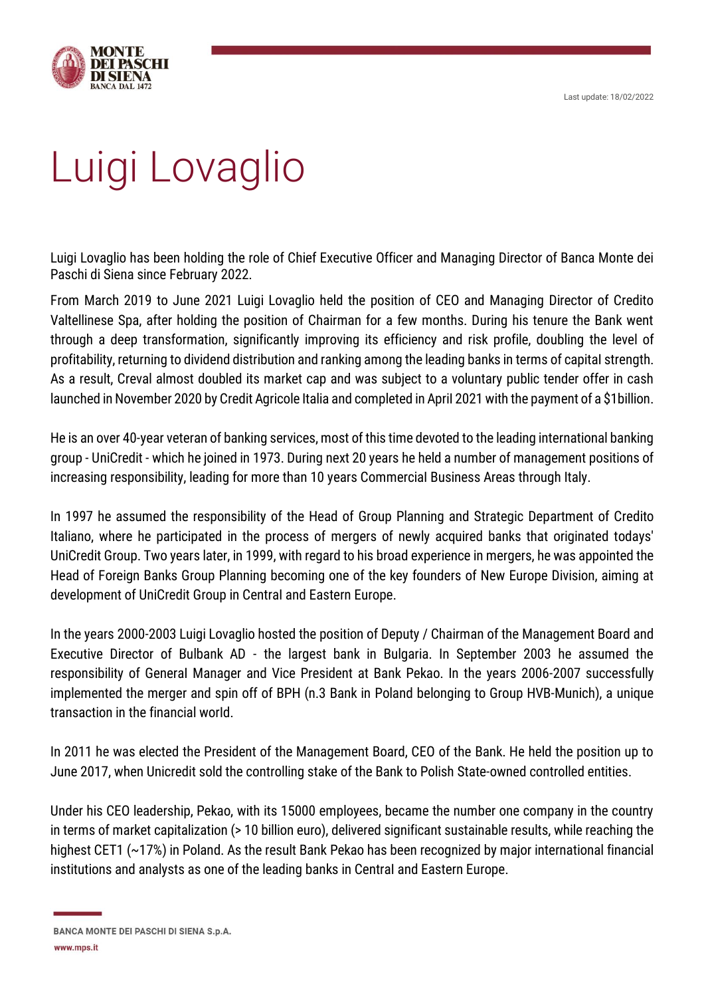Last update: 18/02/2022



## Luigi Lovaglio

Luigi Lovaglio has been holding the role of Chief Executive Officer and Managing Director of Banca Monte dei Paschi di Siena since February 2022.

From March 2019 to June 2021 Luigi Lovaglio held the position of CEO and Managing Director of Credito Valtellinese Spa, after holding the position of Chairman for a few months. During his tenure the Bank went through a deep transformation, significantly improving its efficiency and risk profile, doubling the level of profitability, returning to dividend distribution and ranking among the leading banks in terms of capitaI strength. As a result, Creval almost doubled its market cap and was subject to a voluntary public tender offer in cash launched in November 2020 by Credit Agricole Italia and completed in April 2021 with the payment of a \$1billion.

He is an over 40-year veteran of banking services, most of this time devoted to the leading international banking group - UniCredit - which he joined in 1973. During next 20 years he held a number of management positions of increasing responsibility, leading for more than 10 years CommerciaI Business Areas through Italy.

In 1997 he assumed the responsibility of the Head of Group Planning and Strategic Department of Credito Italiano, where he participated in the process of mergers of newly acquired banks that originated todays' UniCredit Group. Two years later, in 1999, with regard to his broad experience in mergers, he was appointed the Head of Foreign Banks Group Planning becoming one of the key founders of New Europe Division, aiming at development of UniCredit Group in CentraI and Eastern Europe.

In the years 2000-2003 Luigi Lovaglio hosted the position of Deputy / Chairman of the Management Board and Executive Director of Bulbank AD - the largest bank in Bulgaria. In September 2003 he assumed the responsibility of GeneraI Manager and Vice President at Bank Pekao. In the years 2006-2007 successfully implemented the merger and spin off of BPH (n.3 Bank in Poland belonging to Group HVB-Munich), a unique transaction in the financial worId.

In 2011 he was elected the President of the Management Board, CEO of the Bank. He held the position up to June 2017, when Unicredit sold the controlling stake of the Bank to Polish State-owned controlled entities.

Under his CEO leadership, Pekao, with its 15000 employees, became the number one company in the country in terms of market capitalization (> 10 billion euro), delivered significant sustainable results, while reaching the highest CET1 (~17%) in Poland. As the result Bank Pekao has been recognized by major international financial institutions and analysts as one of the leading banks in CentraI and Eastern Europe.